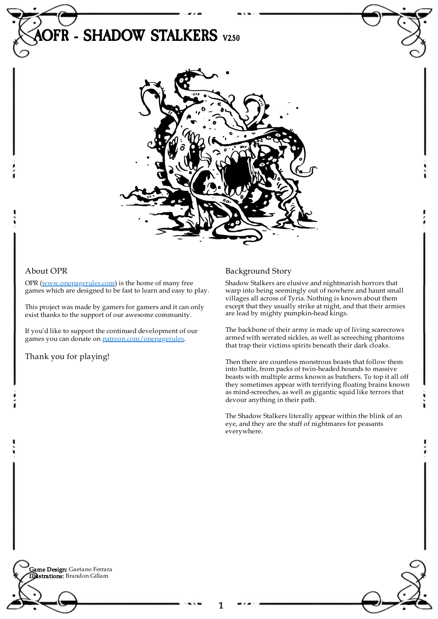

## About OPR

OPR [\(www.onepagerules.com](https://webapp.onepagerules.com/army-books/view/gHTrjw-g76vfGCSt~6/https//www.onepagerules.com)) is the home of many free games which are designed to be fast to learn and easy to play.

This project was made by gamers for gamers and it can only exist thanks to the support of our awesome community.

If you'd like to support the continued development of our games you can donate on [patreon.com/onepagerules](https://www.patreon.com/onepagerules).

Thank you for playing!

# Background Story

Shadow Stalkers are elusive and nightmarish horrors that warp into being seemingly out of nowhere and haunt small villages all across of Tyria. Nothing is known about them except that they usually strike at night, and that their armies are lead by mighty pumpkin-head kings.

The backbone of their army is made up of living scarecrows armed with serrated sickles, as well as screeching phantoms that trap their victims spirits beneath their dark cloaks.

Then there are countless monstrous beasts that follow them into battle, from packs of twin-headed hounds to massive beasts with multiple arms known as butchers. To top it all off they sometimes appear with terrifying floating brains known as mind-screeches, as well as gigantic squid like terrors that devour anything in their path.

The Shadow Stalkers literally appear within the blink of an eye, and they are the stuff of nightmares for peasants everywhere.

**Game Design:** Gaetano Ferrara Illustrations: Brandon Gillam